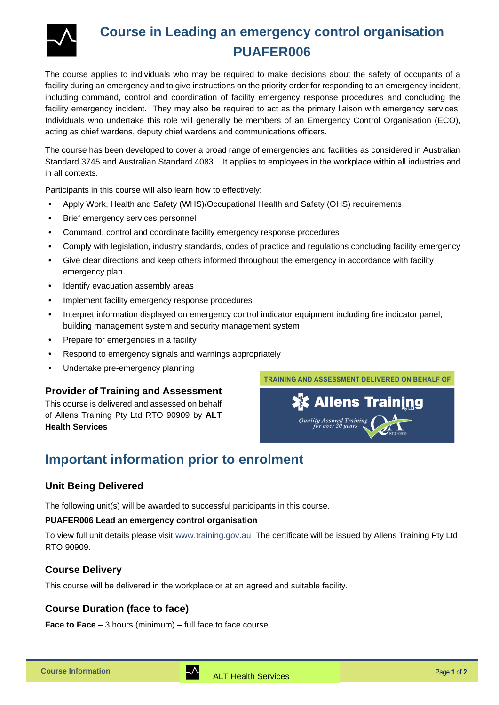

# **Course in Leading an emergency control organisation PUAFER006**

The course applies to individuals who may be required to make decisions about the safety of occupants of a facility during an emergency and to give instructions on the priority order for responding to an emergency incident, including command, control and coordination of facility emergency response procedures and concluding the facility emergency incident. They may also be required to act as the primary liaison with emergency services. Individuals who undertake this role will generally be members of an Emergency Control Organisation (ECO), acting as chief wardens, deputy chief wardens and communications officers.

The course has been developed to cover a broad range of emergencies and facilities as considered in Australian Standard 3745 and Australian Standard 4083. It applies to employees in the workplace within all industries and in all contexts.

Participants in this course will also learn how to effectively:

- Apply Work, Health and Safety (WHS)/Occupational Health and Safety (OHS) requirements
- Brief emergency services personnel
- Command, control and coordinate facility emergency response procedures
- Comply with legislation, industry standards, codes of practice and regulations concluding facility emergency
- Give clear directions and keep others informed throughout the emergency in accordance with facility emergency plan
- Identify evacuation assembly areas
- Implement facility emergency response procedures
- Interpret information displayed on emergency control indicator equipment including fire indicator panel, building management system and security management system
- Prepare for emergencies in a facility
- Respond to emergency signals and warnings appropriately
- Undertake pre-emergency planning

#### **Provider of Training and Assessment**

This course is delivered and assessed on behalf of Allens Training Pty Ltd RTO 90909 by **ALT Health Services**





### **Important information prior to enrolment**

#### **Unit Being Delivered**

The following unit(s) will be awarded to successful participants in this course.

#### **PUAFER006 Lead an emergency control organisation**

To view full unit details please visit [www.training.gov.au](https://training.gov.au/Training/Details/PUAFER006) The certificate will be issued by Allens Training Pty Ltd RTO 90909.

#### **Course Delivery**

This course will be delivered in the workplace or at an agreed and suitable facility.

#### **Course Duration (face to face)**

**Face to Face –** 3 hours (minimum) – full face to face course.